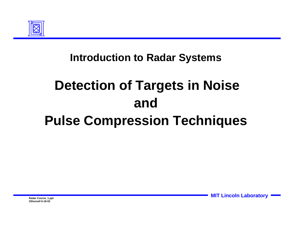

### **Introduction to Radar Systems**

# **Detection of Targets in Noise and Pulse Compression Techniques**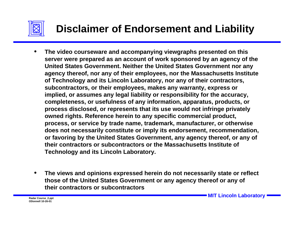

- **The video courseware and accompanying viewgraphs presented on this server were prepared as an account of work sponsored by an agency of the United States Government. Neither the United States Government nor any agency thereof, nor any of their employees, nor the Massachusetts Institute of Technology and its Lincoln Laboratory, nor any of their contractors, subcontractors, or their employees, makes any warranty, express or implied, or assumes any legal liability or responsibility for the accuracy, completeness, or usefulness of any information, apparatus, products, or process disclosed, or represents that its use would not infringe privately owned rights. Reference herein to any specific commercial product, process, or service by trade name, trademark, manufacturer, or otherwise does not necessarily constitute or imply its endorsement, recommendation, or favoring by the United States Government, any agency thereof, or any of their contractors or subcontractors or the Massachusetts Institute of Technology and its Lincoln Laboratory.**
- **The views and opinions expressed herein do not necessarily state or reflect those of the United States Government or any agency thereof or any of their contractors or subcontractors**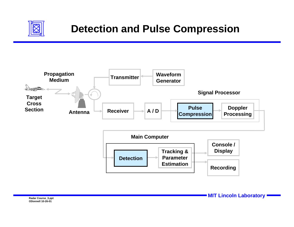

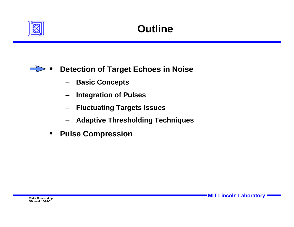



- **Basic Concepts**
- **Integration of Pulses**
- **Fluctuating Targets Issues**
- **Adaptive Thresholding Techniques**
- **Pulse Compression**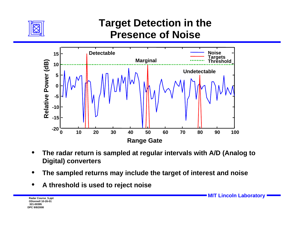

## **Target Detection in the Presence of Noise**



- **The radar return is sampled at regular intervals with A/D (Analog to Digital) converters**
- **The sampled returns may include the target of interest and noise**
- **A threshold is used to reject noise**

**ODonnell 10-26-01321-00395DPC 9/8/2008**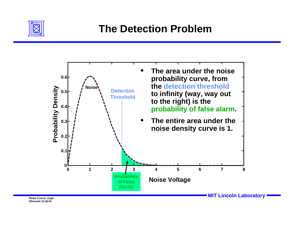

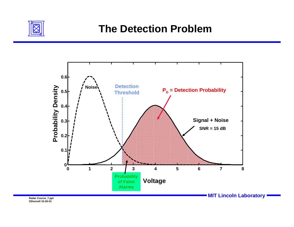

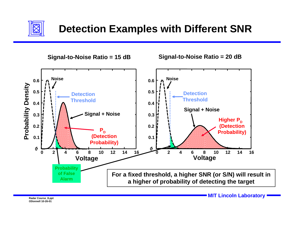

**Signal-to-Noise Ratio = 15 dB**

**Signal-to-Noise Ratio = 20 dB**

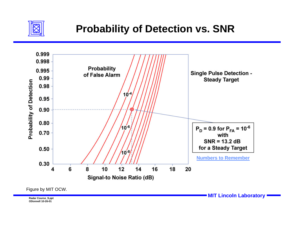

## **Probability of Detection vs. SNR**



Figure by MIT OCW.

Radar Course\_9.ppt<br>Radar Course\_9.ppt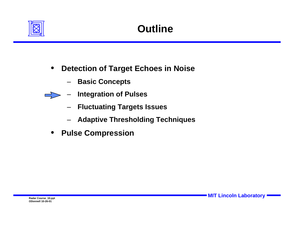

- **Detection of Target Echoes in Noise**
	- **Basic Concepts**
- **Integration of Pulses**   $\Rightarrow$ 
	- **Fluctuating Targets Issues**
	- **Adaptive Thresholding Techniques**
	- **Pulse Compression**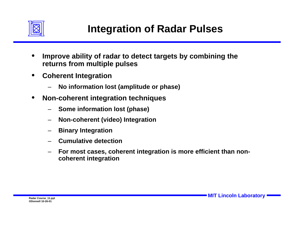

- **Improve ability of radar to detect targets by combining the returns from multiple pulses**
- **Coherent Integration**
	- **No information lost (amplitude or phase)**
- **Non-coherent integration techniques**
	- **Some information lost (phase)**
	- **Non-coherent (video) Integration**
	- **Binary Integration**
	- **Cumulative detection**
	- **For most cases, coherent integration is more efficient than noncoherent integration**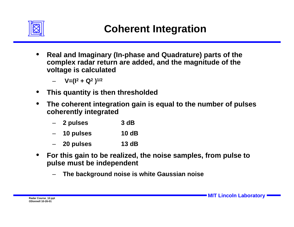

- **Real and Imaginary (In-phase and Quadrature) parts of the complex radar return are added, and the magnitude of the voltage is calculated**
	- **V=(I2 + Q2 )1/2**
- **This quantity is then thresholded**
- **The coherent integration gain is equal to the number of pulses coherently integrated**
	- **2 pulses 3 dB**
	- **10 pulses 10 dB**
	- **20 pulses 13 dB**
- **For this gain to be realized, the noise samples, from pulse to pulse must be independent**
	- **The background noise is white Gaussian noise**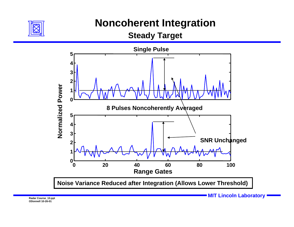

#### **Noncoherent Integration**

**Steady Target**



**MIT Lincoln Laboratory Radar Course\_13.ppt**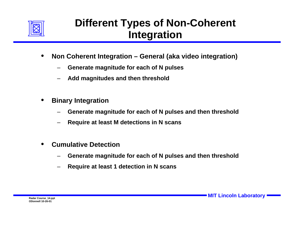

# **Different Types of Non-Coherent Integration**

- **Non Coherent Integration General (aka video integration)** 
	- **Generate magnitude for each of N pulses**
	- **Add magnitudes and then threshold**
- **Binary Integration**
	- **Generate magnitude for each of N pulses and then threshold**
	- **Require at least M detections in N scans**
- **Cumulative Detection**
	- **Generate magnitude for each of N pulses and then threshold**
	- **Require at least 1 detection in N scans**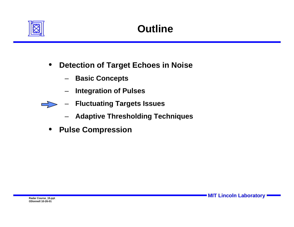

- **Detection of Target Echoes in Noise**
	- **Basic Concepts**
	- **Integration of Pulses**
	- **Fluctuating Targets Issues**
		- **Adaptive Thresholding Techniques**
- **Pulse Compression**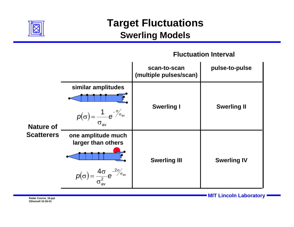

#### **Target Fluctuations Swerling Models**

#### **Fluctuation Interval**



Radar Course\_16.ppt **Radar Course\_16.ppt**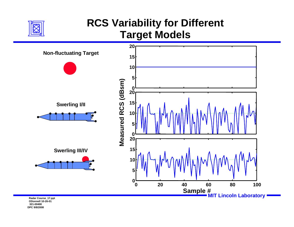

# **RCS Variability for Different Target Models**



**321-00400DPC 9/8/2008**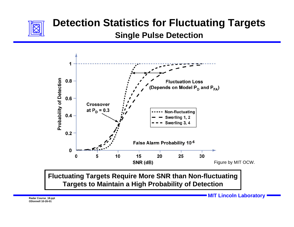

# **Detection Statistics for Fluctuating Targets**

**Single Pulse Detection**



**Fluctuating Targets Require More SNR than Non-fluctuating Targets to Maintain a High Probability of Detection**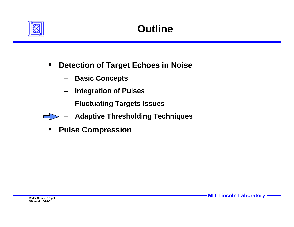

- **Detection of Target Echoes in Noise**
	- **Basic Concepts**
	- **Integration of Pulses**
	- **Fluctuating Targets Issues**
- **Adaptive Thresholding Techniques**
- **Pulse Compression**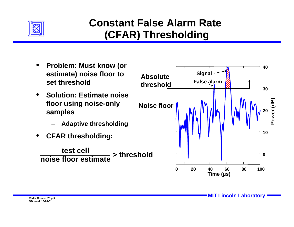

# **Constant False Alarm Rate (CFAR) Thresholding**

- **Problem: Must know (or estimate) noise floor to set threshold**
- **Solution: Estimate noise floor using noise-only samples**
	- **Adaptive thresholding**
- **CFAR thresholding:**

**test cellnoise floor estimate> threshold**

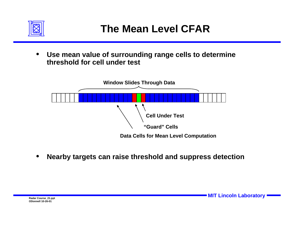

• **Use mean value of surrounding range cells to determine threshold for cell under test**



• **Nearby targets can raise threshold and suppress detection**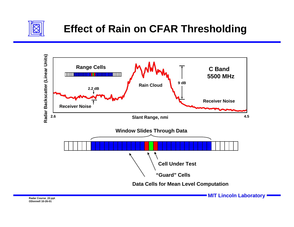



**MIT Lincoln Laboratory Radar Course\_22.ppt**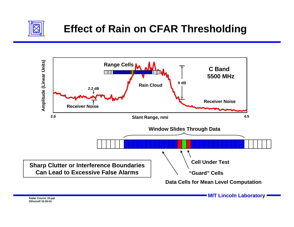

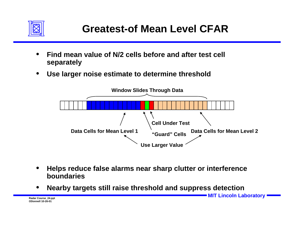

- **Find mean value of N/2 cells before and after test cell separately**
- **Use larger noise estimate to determine threshold**



- **Helps reduce false alarms near sharp clutter or interference boundaries**
- **Nearby targets still raise threshold and suppress detection**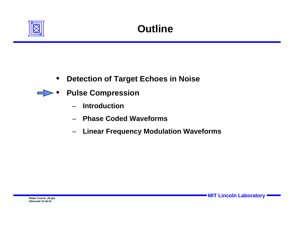

• **Detection of Target Echoes in Noise**



- **Pulse Compression**
	- **Introduction**
	- **Phase Coded Waveforms**
	- **Linear Frequency Modulation Waveforms**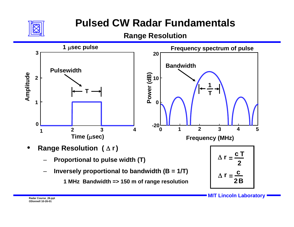

# **Pulsed CW Radar Fundamentals**

**Range Resolution**

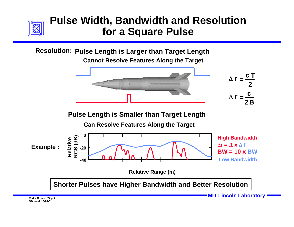

#### **Pulse Width, Bandwidth and Resolution for a Square Pulse**

**Resolution: Pulse Length is Larger than Target Length** 

**Cannot Resolve Features Along the Target**



**Pulse Length is Smaller than Target Length**

**Can Resolve Features Along the Target**



**Shorter Pulses have Higher Bandwidth and Better Resolution**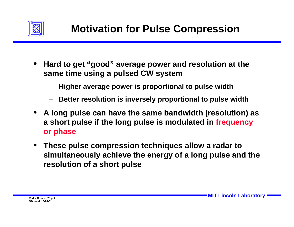

- **Hard to get "good" average power and resolution at the same time using a pulsed CW system**
	- **Higher average power is proportional to pulse width**
	- **Better resolution is inversely proportional to pulse width**
- **A long pulse can have the same bandwidth (resolution) as a short pulse if the long pulse is modulated in frequency or phase**
- **These pulse compression techniques allow a radar to simultaneously achieve the energy of a long pulse and the resolution of a short pulse**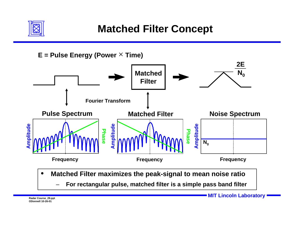

#### **Matched Filter Concept**



– **For rectangular pulse, matched filter is a simple pass band filter**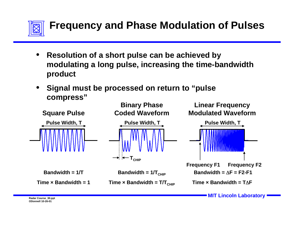

- **Resolution of a short pulse can be achieved by modulating a long pulse, increasing the time-bandwidth product**
- **Signal must be processed on return to "pulse compress"**

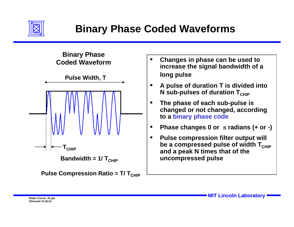



- **Changes in phase can be used to increase the signal bandwidth of a long pulse**
- **A pulse of duration T is divided into N** sub-pulses of duration T<sub>CHIP</sub>
- **The phase of each sub-pulse is changed or not changed, according to a binary phase code**
- **Phase changes 0 or** π **radians (+ or -)**
- **Pulse compression filter output will be a compressed pulse of width T<sub>CHIP</sub> and a peak N times that of the uncompressed pulse**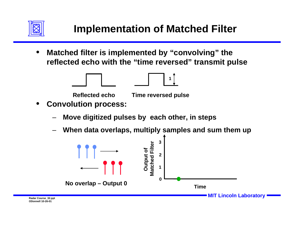



- **Convolution process:** 
	- **Move digitized pulses by each other, in steps**
	- **When data overlaps, multiply samples and sum them up**

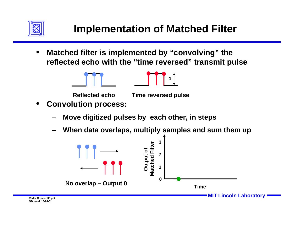



- **Convolution process:** 
	- **Move digitized pulses by each other, in steps**
	- **When data overlaps, multiply samples and sum them up**

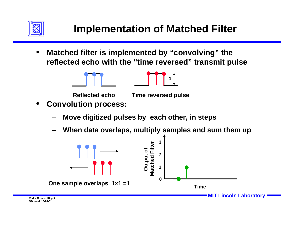



- **Convolution process:** 
	- **Move digitized pulses by each other, in steps**
	- **When data overlaps, multiply samples and sum them up**

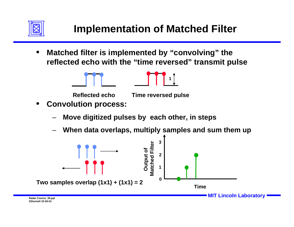



- **Convolution process:** 
	- **Move digitized pulses by each other, in steps**
	- **When data overlaps, multiply samples and sum them up**

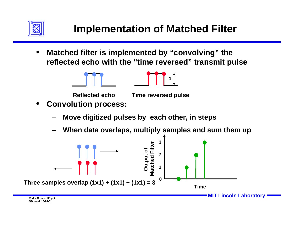



- **Convolution process:** 
	- **Move digitized pulses by each other, in steps**
	- **When data overlaps, multiply samples and sum them up**

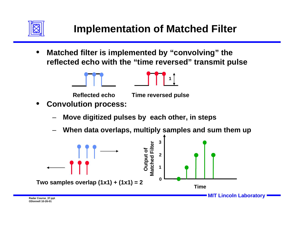



- **Convolution process:** 
	- **Move digitized pulses by each other, in steps**
	- **When data overlaps, multiply samples and sum them up**

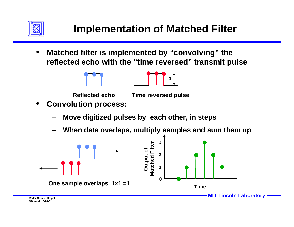



- **Convolution process:** 
	- **Move digitized pulses by each other, in steps**
	- **When data overlaps, multiply samples and sum them up**

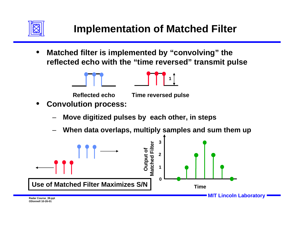



- **Convolution process:** 
	- **Move digitized pulses by each other, in steps**
	- **When data overlaps, multiply samples and sum them up**

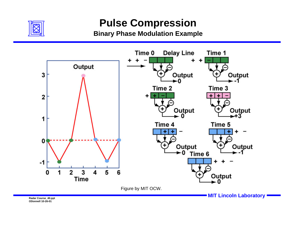

#### **Pulse Compression**

**Binary Phase Modulation Example**



Radar Course\_40.ppt<br>Radar Course\_40.ppt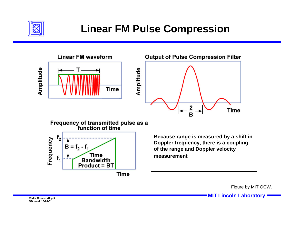

# **Linear FM Pulse Compression**



Figure by MIT OCW.

**MIT Lincoln Laboratory Radar Course\_41.ppt**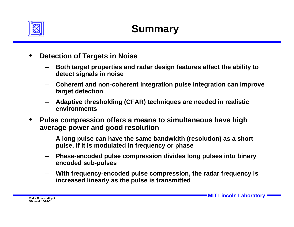

- **Detection of Targets in Noise**
	- **Both target properties and radar design features affect the ability to detect signals in noise**
	- **Coherent and non-coherent integration pulse integration can improve target detection**
	- **Adaptive thresholding (CFAR) techniques are needed in realistic environments**
- **Pulse compression offers a means to simultaneous have high average power and good resolution**
	- **A long pulse can have the same bandwidth (resolution) as a short pulse, if it is modulated in frequency or phase**
	- **Phase-encoded pulse compression divides long pulses into binary encoded sub-pulses**
	- **With frequency-encoded pulse compression, the radar frequency is increased linearly as the pulse is transmitted**